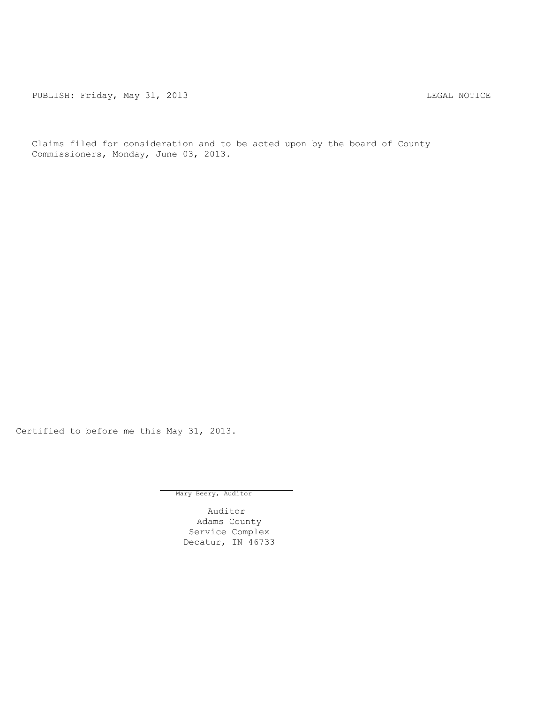PUBLISH: Friday, May 31, 2013 2013 2014 12:33 2014 12:34 2016

Claims filed for consideration and to be acted upon by the board of County Commissioners, Monday, June 03, 2013.

Certified to before me this May 31, 2013.

Mary Beery, Auditor

Auditor Adams County Service Complex Decatur, IN 46733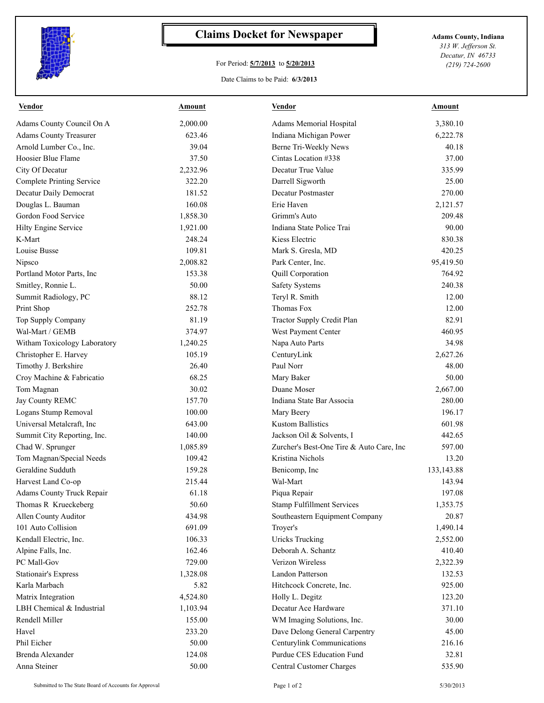

## **Claims Docket for Newspaper Adams County, Indiana**

## For Period: **5/7/2013** to **5/20/2013**

*313 W. Jefferson St. Decatur, IN 46733 (219) 724-2600*

## Date Claims to be Paid: **6/3/2013**

| <b>Vendor</b>                    | Amount           | <b>Vendor</b>                            | Amount         |
|----------------------------------|------------------|------------------------------------------|----------------|
| Adams County Council On A        | 2,000.00         | Adams Memorial Hospital                  | 3,380.10       |
| <b>Adams County Treasurer</b>    | 623.46           | Indiana Michigan Power                   | 6,222.78       |
| Arnold Lumber Co., Inc.          | 39.04            | Berne Tri-Weekly News                    | 40.18          |
| Hoosier Blue Flame               | 37.50            | Cintas Location #338                     | 37.00          |
| City Of Decatur                  | 2,232.96         | Decatur True Value                       | 335.99         |
| <b>Complete Printing Service</b> | 322.20           | Darrell Sigworth                         | 25.00          |
| Decatur Daily Democrat           | 181.52           | <b>Decatur Postmaster</b>                | 270.00         |
| Douglas L. Bauman                | 160.08           | Erie Haven                               | 2,121.57       |
| Gordon Food Service              | 1,858.30         | Grimm's Auto                             | 209.48         |
| Hilty Engine Service             | 1,921.00         | Indiana State Police Trai                | 90.00          |
| K-Mart                           | 248.24           | Kiess Electric                           | 830.38         |
| Louise Busse                     | 109.81           | Mark S. Gresla, MD                       | 420.25         |
| Nipsco                           | 2,008.82         | Park Center, Inc.                        | 95,419.50      |
| Portland Motor Parts, Inc.       | 153.38           | Quill Corporation                        | 764.92         |
| Smitley, Ronnie L.               | 50.00            | <b>Safety Systems</b>                    | 240.38         |
| Summit Radiology, PC             | 88.12            | Teryl R. Smith                           | 12.00          |
| Print Shop                       | 252.78           | Thomas Fox                               | 12.00          |
| Top Supply Company               | 81.19            | Tractor Supply Credit Plan               | 82.91          |
| Wal-Mart / GEMB                  | 374.97           | West Payment Center                      | 460.95         |
| Witham Toxicology Laboratory     | 1,240.25         | Napa Auto Parts                          | 34.98          |
| Christopher E. Harvey            | 105.19           | CenturyLink                              | 2,627.26       |
| Timothy J. Berkshire             | 26.40            | Paul Norr                                | 48.00          |
| Croy Machine & Fabricatio        | 68.25            | Mary Baker                               | 50.00          |
| Tom Magnan                       | 30.02            | Duane Moser                              | 2,667.00       |
| Jay County REMC                  | 157.70           | Indiana State Bar Associa                | 280.00         |
| Logans Stump Removal             | 100.00           | Mary Beery                               | 196.17         |
| Universal Metalcraft, Inc.       | 643.00           | <b>Kustom Ballistics</b>                 | 601.98         |
| Summit City Reporting, Inc.      | 140.00           | Jackson Oil & Solvents, I                | 442.65         |
| Chad W. Sprunger                 | 1,085.89         | Zurcher's Best-One Tire & Auto Care, Inc | 597.00         |
| Tom Magnan/Special Needs         | 109.42           | Kristina Nichols                         | 13.20          |
| Geraldine Sudduth                | 159.28           | Benicomp, Inc.                           | 133, 143.88    |
| Harvest Land Co-op               | 215.44           | Wal-Mart                                 | 143.94         |
| Adams County Truck Repair        | 61.18            | Piqua Repair                             | 197.08         |
| Thomas R Krueckeberg             | 50.60            | <b>Stamp Fulfillment Services</b>        | 1,353.75       |
| Allen County Auditor             | 434.98           | Southeastern Equipment Company           | 20.87          |
| 101 Auto Collision               | 691.09           | Troyer's                                 | 1,490.14       |
| Kendall Electric, Inc.           | 106.33           | <b>Uricks Trucking</b>                   | 2,552.00       |
| Alpine Falls, Inc.               | 162.46           | Deborah A. Schantz                       | 410.40         |
| PC Mall-Gov                      | 729.00           | Verizon Wireless                         | 2,322.39       |
| <b>Stationair's Express</b>      | 1,328.08         | Landon Patterson                         | 132.53         |
| Karla Marbach                    | 5.82             | Hitchcock Concrete, Inc.                 | 925.00         |
| Matrix Integration               | 4,524.80         | Holly L. Degitz                          | 123.20         |
| LBH Chemical & Industrial        | 1,103.94         | Decatur Ace Hardware                     | 371.10         |
|                                  |                  |                                          |                |
| Rendell Miller<br>Havel          | 155.00<br>233.20 | WM Imaging Solutions, Inc.               | 30.00<br>45.00 |
|                                  |                  | Dave Delong General Carpentry            |                |
| Phil Eicher                      | 50.00            | Centurylink Communications               | 216.16         |
| Brenda Alexander                 | 124.08           | Purdue CES Education Fund                | 32.81          |
| Anna Steiner                     | 50.00            | Central Customer Charges                 | 535.90         |